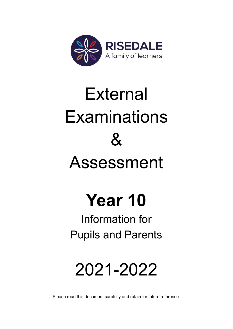

# External **Examinations**  $\mathcal{R}_{\mathbf{z}}$ Assessment

# **Year 10**

# Information for Pupils and Parents

# 2021-2022

Please read this document carefully and retain for future reference.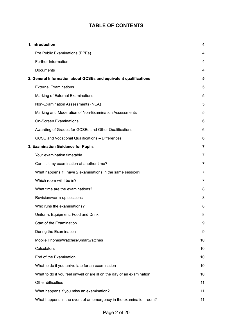# **TABLE OF CONTENTS**

| 1. Introduction                                                       | 4              |
|-----------------------------------------------------------------------|----------------|
| Pre Public Examinations (PPEs)                                        | 4              |
| Further Information                                                   | 4              |
| Documents                                                             | 4              |
| 2. General Information about GCSEs and equivalent qualifications      | 5              |
| <b>External Examinations</b>                                          | 5              |
| Marking of External Examinations                                      | 5              |
| Non-Examination Assessments (NEA)                                     | 5              |
| Marking and Moderation of Non-Examination Assessments                 | 5              |
| <b>On-Screen Examinations</b>                                         | 6              |
| Awarding of Grades for GCSEs and Other Qualifications                 | 6              |
| <b>GCSE and Vocational Qualifications - Differences</b>               | 6              |
| 3. Examination Guidance for Pupils                                    | 7              |
| Your examination timetable                                            | 7              |
| Can I sit my examination at another time?                             | 7              |
| What happens if I have 2 examinations in the same session?            | $\overline{7}$ |
| Which room will I be in?                                              | 7              |
| What time are the examinations?                                       | 8              |
| Revision/warm-up sessions                                             | 8              |
| Who runs the examinations?                                            | 8              |
| Uniform, Equipment, Food and Drink                                    | 8              |
| Start of the Examination                                              | 9              |
| During the Examination                                                | 9              |
| Mobile Phones/Watches/Smartwatches                                    | 10             |
| Calculators                                                           | 10             |
| End of the Examination                                                | 10             |
| What to do if you arrive late for an examination                      | 10             |
| What to do if you feel unwell or are ill on the day of an examination | 10             |
| Other difficulties                                                    | 11             |
| What happens if you miss an examination?                              | 11             |
| What happens in the event of an emergency in the examination room?    | 11             |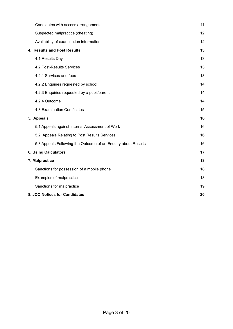| Candidates with access arrangements                           | 11 |
|---------------------------------------------------------------|----|
| Suspected malpractice (cheating)                              | 12 |
| Availability of examination information                       | 12 |
| 4. Results and Post Results                                   | 13 |
| 4.1 Results Day                                               | 13 |
| 4.2 Post-Results Services                                     | 13 |
| 4.2.1 Services and fees                                       | 13 |
| 4.2.2 Enquiries requested by school                           | 14 |
| 4.2.3 Enquiries requested by a pupil/parent                   | 14 |
| 4.2.4 Outcome                                                 | 14 |
| 4.3 Examination Certificates                                  | 15 |
| 5. Appeals                                                    | 16 |
| 5.1 Appeals against Internal Assessment of Work               | 16 |
| 5.2 Appeals Relating to Post Results Services                 | 16 |
| 5.3 Appeals Following the Outcome of an Enquiry about Results | 16 |
| <b>6. Using Calculators</b>                                   | 17 |
| 7. Malpractice                                                | 18 |
| Sanctions for possession of a mobile phone                    | 18 |
| Examples of malpractice                                       | 18 |
| Sanctions for malpractice                                     | 19 |
| 8. JCQ Notices for Candidates                                 | 20 |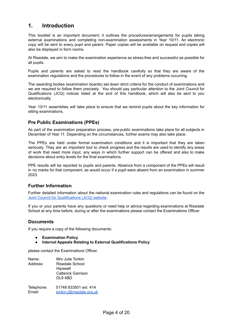# <span id="page-3-0"></span>**1. Introduction**

This booklet is an important document; it outlines the procedures/arrangements for pupils taking external examinations and completing non-examination assessments in Year 10/11. An electronic copy will be sent to every pupil and parent. Paper copies will be available on request and copies will also be displayed in form rooms.

At Risedale, we aim to make the examination experience as stress-free and successful as possible for all pupils.

Pupils and parents are asked to read the handbook carefully so that they are aware of the examination regulations and the procedures to follow in the event of any problems occurring.

The awarding bodies (examination boards) set down strict criteria for the conduct of examinations and we are required to follow them precisely. You should pay particular attention to the Joint Council for Qualifications (JCQ) notices listed at the end of this handbook, which will also be sent to you electronically.

Year 10/11 assemblies will take place to ensure that we remind pupils about the key information for sitting examinations.

# <span id="page-3-1"></span>**Pre Public Examinations (PPEs)**

As part of the examination preparation process, pre-public examinations take place for all subjects in December of Year 11. Depending on the circumstances, further exams may also take place.

The PPEs are held under formal examination conditions and it is important that they are taken seriously. They are an important tool to check progress and the results are used to identify any areas of work that need more input, any ways in which further support can be offered and also to make decisions about entry levels for the final examinations.

PPE results will be reported to pupils and parents. Absence from a component of the PPEs will result in no marks for that component, as would occur if a pupil were absent from an examination in summer 2023.

# <span id="page-3-2"></span>**Further Information**

Further detailed information about the national examination rules and regulations can be found on the Joint Council for [Qualifications](http://www.jcq.org.uk) (JCQ) website.

If you or your parents have any questions or need help or advice regarding examinations at Risedale School at any time before, during or after the examinations please contact the Examinations Officer

# <span id="page-3-3"></span>**Documents**

If you require a copy of the following documents:

- **● Examination Policy**
- **● Internal Appeals Relating to External Qualifications Policy**

please contact the Examinations Officer.

Name: Mrs Julie Tonkin Address: Risedale School **Hipswell** Catterick Garrison DL9 4BD Telephone: 01748 833501 ext. 414 Email: [tonkin.j@risedale.org.uk](mailto:tonkin.j@risedale.org.uk)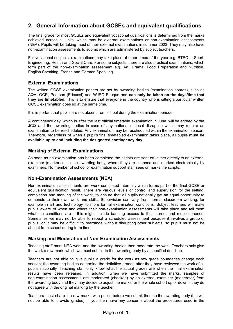# <span id="page-4-0"></span>**2. General Information about GCSEs and equivalent qualifications**

The final grade for most GCSEs and equivalent vocational qualifications is determined from the marks achieved across all units, which may be external examinations or non-examination assessments (NEA). Pupils will be taking most of their external examinations in summer 2023. They may also have non-examination assessments to submit which are administered by subject teachers.

For vocational subjects, examinations may take place at other times of the year e.g. BTEC in Sport, Engineering, Health and Social Care. For some subjects, there are also practical examinations, which form part of the non-examination assessment e.g. Art, Drama, Food Preparation and Nutrition, English Speaking, French and German Speaking.

# <span id="page-4-1"></span>**External Examinations**

The written GCSE examination papers are set by awarding bodies (examination boards), such as AQA, OCR, Pearson (Edexcel) and WJEC Eduqas and **can only be taken on the days/time that they are timetabled.** This is to ensure that everyone in the country who is sitting a particular written GCSE examination does so at the same time.

It is important that pupils are not absent from school during the examination periods.

A contingency day, which is after the last official timetable examination in June, will be agreed by the JCQ and the awarding bodies in case of any national or local disruption which may require an examination to be rescheduled. Any examination may be rescheduled within the examination season. Therefore, regardless of when a pupil's final timetabled examination takes place, all pupils **must be available up to and including the designated contingency day.**

# <span id="page-4-2"></span>**Marking of External Examinations**

As soon as an examination has been completed the scripts are sent off, either directly to an external examiner (marker) or to the awarding body, where they are scanned and marked electronically by examiners. No member of school or examination support staff sees or marks the scripts.

# <span id="page-4-3"></span>**Non-Examination Assessments (NEA)**

Non-examination assessments are work completed internally which forms part of the final GCSE or equivalent qualification result. There are various levels of control and supervision for the setting, completion and marking of the work, to ensure that all pupils nationally get an equal opportunity to demonstrate their own work and skills. Supervision can vary from normal classroom working, for example in art and technology, to more formal examination conditions. Subject teachers will make pupils aware of when and where their non-examination assessments will take place and tell them what the conditions are  $-$  this might include banning access to the internet and mobile phones. Sometimes we may not be able to repeat a scheduled assessment because it involves a group of pupils, or it may be difficult to rearrange without disrupting other subjects, so pupils must not be absent from school during term time.

# <span id="page-4-4"></span>**Marking and Moderation of Non-Examination Assessments**

Teaching staff mark NEA work and the awarding bodies then moderate the work. Teachers only give the work a raw mark, which we must submit to the awarding body by a specified deadline.

Teachers are not able to give pupils a grade for the work as raw grade boundaries change each season; the awarding bodies determine the definitive grades after they have reviewed the work of all pupils nationally. Teaching staff only know what the actual grades are when the final examination results have been released. In addition, when we have submitted the marks, samples of non-examination assessments are moderated (checked) by an external examiner (moderator) from the awarding body and they may decide to adjust the marks for the whole cohort up or down if they do not agree with the original marking by the teacher.

Teachers must share the raw marks with pupils before we submit them to the awarding body (but will not be able to provide grades). If you then have any concerns about the procedures used in the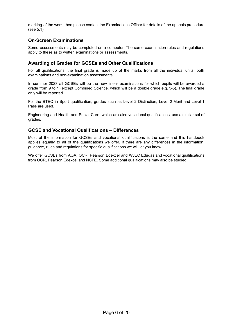marking of the work, then please contact the Examinations Officer for details of the appeals procedure (see 5.1).

# <span id="page-5-0"></span>**On-Screen Examinations**

Some assessments may be completed on a computer. The same examination rules and regulations apply to these as to written examinations or assessments.

# <span id="page-5-1"></span>**Awarding of Grades for GCSEs and Other Qualifications**

For all qualifications, the final grade is made up of the marks from all the individual units, both examinations and non-examination assessments.

In summer 2023 all GCSEs will be the new linear examinations for which pupils will be awarded a grade from 9 to 1 (except Combined Science, which will be a double grade e.g. 5-5). The final grade only will be reported.

For the BTEC in Sport qualification, grades such as Level 2 Distinction, Level 2 Merit and Level 1 Pass are used.

Engineering and Health and Social Care, which are also vocational qualifications, use a similar set of grades.

# <span id="page-5-2"></span>**GCSE and Vocational Qualifications – Differences**

Most of the information for GCSEs and vocational qualifications is the same and this handbook applies equally to all of the qualifications we offer. If there are any differences in the information, guidance, rules and regulations for specific qualifications we will let you know.

We offer GCSEs from AQA, OCR, Pearson Edexcel and WJEC Eduqas and vocational qualifications from OCR, Pearson Edexcel and NCFE. Some additional qualifications may also be studied.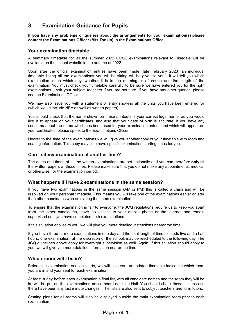# <span id="page-6-0"></span>**3. Examination Guidance for Pupils**

# **If you have any problems or queries about the arrangements for your examination(s) please contact the Examinations Officer (Mrs Tonkin) in the Examinations Office.**

# <span id="page-6-1"></span>**Your examination timetable**

A summary timetable for all the summer 2023 GCSE examinations relevant to Risedale will be available on the school website in the autumn of 2022.

Soon after the official examination entries have been made (late February 2023) an individual timetable listing all the examinations you will be sitting will be given to you. It will tell you which examination is on which day, whether it is in the morning or afternoon and the length of the examination. You must check your timetable carefully to be sure we have entered you for the right examinations. Ask your subject teachers if you are not sure. If you have any other queries, please see the Examinations Officer.

We may also issue you with a statement of entry showing all the units you have been entered for (which would include NEA as well as written papers).

You should check that the name shown on these printouts is your correct legal name, as you would like it to appear on your certificates, and also that your date of birth is accurate. If you have any concerns about the name which has been used for your examination entries and which will appear on your certificates, please speak to the Examinations Officer.

Nearer to the time of the examinations we will give you another copy of your timetable with room and seating information. This copy may also have specific examination starting times for you.

# <span id="page-6-2"></span>**Can I sit my examination at another time?**

The dates and times of all the written examinations are set nationally and you can therefore **only** sit the written papers at those times. Please make sure that you do not make any appointments, medical or otherwise, for the examination period.

# <span id="page-6-3"></span>**What happens if I have 2 examinations in the same session?**

If you have two examinations in the same session (AM or PM) this is called a clash and will be resolved on your personal timetable. This means you will take one of the examinations earlier or later than other candidates who are sitting the same examination.

To ensure that the examination is fair to everyone, the JCQ regulations require us to keep you apart from the other candidates, have no access to your mobile phone or the internet and remain supervised until you have completed both examinations.

If this situation applies to you, we will give you more detailed instructions nearer the time.

If you have three or more examinations in one day and the total length of time exceeds five and a half hours, one examination, at the discretion of the school, may be rescheduled to the following day. The JCQ guidelines above apply for overnight supervision as well. Again, if this situation should apply to you, we will give you more detailed information nearer the time.

# <span id="page-6-4"></span>**Which room will I be in?**

Before the examination season starts, we will give you an updated timetable indicating which room you are in and your seat for each examination.

At least a day before each examination a final list, with all candidate names and the room they will be in, will be put on the examinations notice board near the Hall. You should check these lists in case there have been any last minute changes. The lists are also sent to subject teachers and form tutors.

Seating plans for all rooms will also be displayed outside the main examination room prior to each examination.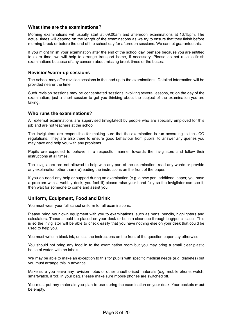# <span id="page-7-0"></span>**What time are the examinations?**

Morning examinations will usually start at 09:00am and afternoon examinations at 13:15pm. The actual times will depend on the length of the examinations as we try to ensure that they finish before morning break or before the end of the school day for afternoon sessions. We cannot guarantee this.

If you might finish your examination after the end of the school day, perhaps because you are entitled to extra time, we will help to arrange transport home, if necessary. Please do not rush to finish examinations because of any concern about missing break times or the buses.

# <span id="page-7-1"></span>**Revision/warm-up sessions**

The school may offer revision sessions in the lead up to the examinations. Detailed information will be provided nearer the time.

Such revision sessions may be concentrated sessions involving several lessons, or, on the day of the examination, just a short session to get you thinking about the subject of the examination you are taking.

# <span id="page-7-2"></span>**Who runs the examinations?**

All external examinations are supervised (invigilated) by people who are specially employed for this job and are not teachers at the school.

The invigilators are responsible for making sure that the examination is run according to the JCQ regulations. They are also there to ensure good behaviour from pupils, to answer any queries you may have and help you with any problems.

Pupils are expected to behave in a respectful manner towards the invigilators and follow their instructions at all times.

The invigilators are not allowed to help with any part of the examination, read any words or provide any explanation other than (re)reading the instructions on the front of the paper.

If you do need any help or support during an examination (e.g. a new pen, additional paper, you have a problem with a wobbly desk, you feel ill) please raise your hand fully so the invigilator can see it, then wait for someone to come and assist you.

# <span id="page-7-3"></span>**Uniform, Equipment, Food and Drink**

You must wear your full school uniform for all examinations.

Please bring your own equipment with you to examinations, such as pens, pencils, highlighters and calculators. These should be placed on your desk or be in a clear see-through bag/pencil case. This is so the invigilator will be able to check easily that you have nothing else on your desk that could be used to help you.

You must write in black ink, unless the instructions on the front of the question paper say otherwise.

You should not bring any food in to the examination room but you may bring a small clear plastic bottle of water, with no labels.

We may be able to make an exception to this for pupils with specific medical needs (e.g. diabetes) but you must arrange this in advance.

Make sure you leave any revision notes or other unauthorised materials (e.g. mobile phone, watch, smartwatch, iPod) in your bag. Please make sure mobile phones are switched off.

You must put any materials you plan to use during the examination on your desk. Your pockets **must** be empty.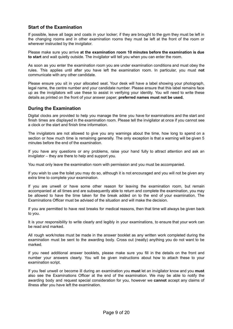# <span id="page-8-0"></span>**Start of the Examination**

If possible, leave all bags and coats in your locker; if they are brought to the gym they must be left in the changing rooms and in other examination rooms they must be left at the front of the room or wherever instructed by the invigilator.

Please make sure you arrive **at the examination room 10 minutes before the examination is due to start** and wait quietly outside. The invigilator will tell you when you can enter the room.

As soon as you enter the examination room you are under examination conditions and must obey the rules. This applies until after you have left the examination room. In particular, you must **not** communicate with any other candidate.

Please ensure you sit in your allocated seat. Your desk will have a label showing your photograph, legal name, the centre number and your candidate number. Please ensure that this label remains face up as the invigilators will use these to assist in verifying your identity. You will need to write these details as printed on the front of your answer paper; **preferred names must not be used.**

# <span id="page-8-1"></span>**During the Examination**

Digital clocks are provided to help you manage the time you have for examinations and the start and finish times are displayed in the examination room. Please tell the invigilator at once if you cannot see a clock or the start and finish time information.

The invigilators are not allowed to give you any warnings about the time, how long to spend on a section or how much time is remaining generally. The only exception is that a warning will be given 5 minutes before the end of the examination.

If you have any questions or any problems, raise your hand fully to attract attention and ask an invigilator – they are there to help and support you.

You must only leave the examination room with permission and you must be accompanied.

If you wish to use the toilet you may do so, although it is not encouraged and you will not be given any extra time to complete your examination.

If you are unwell or have some other reason for leaving the examination room, but remain accompanied at all times and are subsequently able to return and complete the examination, you may be allowed to have the time taken for the break added on to the end of your examination. The Examinations Officer must be advised of the situation and will make the decision.

If you are permitted to have rest breaks for medical reasons, then that time will always be given back to you.

It is your responsibility to write clearly and legibly in your examinations, to ensure that your work can be read and marked.

All rough work/notes must be made in the answer booklet as any written work completed during the examination must be sent to the awarding body. Cross out (neatly) anything you do not want to be marked.

If you need additional answer booklets, please make sure you fill in the details on the front and number your answers clearly. You will be given instructions about how to attach these to your examination script.

If you feel unwell or become ill during an examination you **must** let an invigilator know and you **must** also see the Examinations Officer at the end of the examination. We may be able to notify the awarding body and request special consideration for you, however we **cannot** accept any claims of illness after you have left the examination.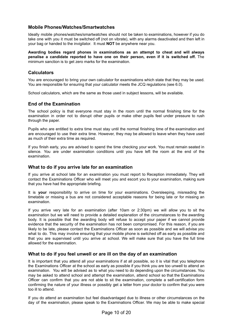# <span id="page-9-0"></span>**Mobile Phones/Watches/Smartwatches**

Ideally mobile phones/watches/smartwatches should not be taken to examinations, however if you do take one with you it must be switched off (not on vibrate), with any alarms deactivated and then left in your bag or handed to the invigilator. It must **NOT** be anywhere near you.

**Awarding bodies regard phones in examinations as an attempt to cheat and will always penalise a candidate reported to have one on their person, even if it is switched off.** The minimum sanction is to get zero marks for the examination.

# <span id="page-9-1"></span>**Calculators**

You are encouraged to bring your own calculator for examinations which state that they may be used. You are responsible for ensuring that your calculator meets the JCQ regulations (see 6.0).

School calculators, which are the same as those used in subject lessons, will be available.

# <span id="page-9-2"></span>**End of the Examination**

The school policy is that everyone must stay in the room until the normal finishing time for the examination in order not to disrupt other pupils or make other pupils feel under pressure to rush through the paper.

Pupils who are entitled to extra time must stay until the normal finishing time of the examination and are encouraged to use their extra time. However, they may be allowed to leave when they have used as much of their extra time as required.

If you finish early, you are advised to spend the time checking your work. You must remain seated in silence. You are under examination conditions until you have left the room at the end of the examination.

# <span id="page-9-3"></span>**What to do if you arrive late for an examination**

If you arrive at school late for an examination you must report to Reception immediately. They will contact the Examinations Officer who will meet you and escort you to your examination, making sure that you have had the appropriate briefing.

It is **your** responsibility to arrive on time for your examinations. Oversleeping, misreading the timetable or missing a bus are not considered acceptable reasons for being late or for missing an examination.

If you arrive very late for an examination (after 10am or 2:30pm) we will allow you to sit the examination but we will need to provide a detailed explanation of the circumstances to the awarding body. It is possible that the awarding body will refuse to accept your paper if we cannot provide evidence that the security of the examination has not been compromised. For this reason, if you are likely to be late, please contact the Examinations Officer as soon as possible and we will advise you what to do. This may involve ensuring that your mobile phone is switched off as early as possible and that you are supervised until you arrive at school. We will make sure that you have the full time allowed for the examination.

# <span id="page-9-4"></span>**What to do if you feel unwell or are ill on the day of an examination**

It is important that you attend all your examinations if at all possible, so it is vital that you telephone the Examinations Officer at the school as early as possible if you think you are too unwell to attend an examination. You will be advised as to what you need to do depending upon the circumstances. You may be asked to attend school and attempt the examination, attend school so that the Examinations Officer can confirm that you are not able to sit the examination, complete a self-certification form confirming the nature of your illness or possibly get a letter from your doctor to confirm that you were too ill to attend.

If you do attend an examination but feel disadvantaged due to illness or other circumstances on the day of the examination, please speak to the Examinations Officer. We may be able to make special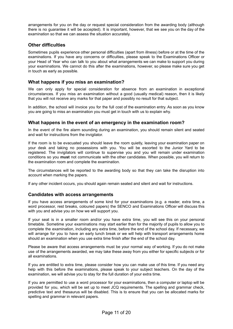arrangements for you on the day or request special consideration from the awarding body (although there is no guarantee it will be accepted). It is important, however, that we see you on the day of the examination so that we can assess the situation accurately.

# <span id="page-10-0"></span>**Other difficulties**

Sometimes pupils experience other personal difficulties (apart from illness) before or at the time of the examinations. If you have any concerns or difficulties, please speak to the Examinations Officer or your Head of Year who can talk to you about what arrangements we can make to support you during your examinations. We cannot do this after the examinations, however, so please make sure you get in touch as early as possible.

# <span id="page-10-1"></span>**What happens if you miss an examination?**

We can only apply for special consideration for absence from an examination in exceptional circumstances. If you miss an examination without a good (usually medical) reason, then it is likely that you will not receive any marks for that paper and possibly no result for that subject.

In addition, the school will invoice you for the full cost of the examination entry. As soon as you know you are going to miss an examination you must get in touch with us to explain why.

# <span id="page-10-2"></span>**What happens in the event of an emergency in the examination room?**

In the event of the fire alarm sounding during an examination, you should remain silent and seated and wait for instructions from the invigilator.

If the room is to be evacuated you should leave the room quietly, leaving your examination paper on your desk and taking no possessions with you. You will be escorted to the Junior Yard to be registered. The invigilators will continue to supervise you and you will remain under examination conditions so you **must** not communicate with the other candidates. When possible, you will return to the examination room and complete the examination.

The circumstances will be reported to the awarding body so that they can take the disruption into account when marking the papers.

If any other incident occurs, you should again remain seated and silent and wait for instructions.

# <span id="page-10-3"></span>**Candidates with access arrangements**

If you have access arrangements of some kind for your examinations (e.g. a reader, extra time, a word processor, rest breaks, coloured papers) the SENCO and Examinations Officer will discuss this with you and advise you on how we will support you.

If your seat is in a smaller room and/or you have extra time, you will see this on your personal timetable. Sometime your examinations may start earlier than for the majority of pupils to allow you to complete the examination, including any extra time, before the end of the school day. If necessary, we will arrange for you to have an early lunch break or we will help with transport arrangements home should an examination when you use extra time finish after the end of the school day.

Please be aware that access arrangements must be your normal way of working. If you do not make use of the arrangements awarded, we may take these away from you either for specific subjects or for all examinations.

If you are entitled to extra time, please consider how you can make use of this time. If you need any help with this before the examinations, please speak to your subject teachers. On the day of the examination, we will advise you to stay for the full duration of your extra time.

If you are permitted to use a word processor for your examinations, then a computer or laptop will be provided for you, which will be set up to meet JCQ requirements. The spelling and grammar check, predictive text and thesaurus will be disabled. This is to ensure that you can be allocated marks for spelling and grammar in relevant papers.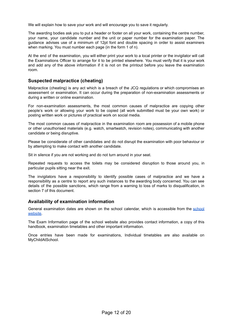We will explain how to save your work and will encourage you to save it regularly.

The awarding bodies ask you to put a header or footer on all your work, containing the centre number, your name, your candidate number and the unit or paper number for the examination paper. The guidance advises use of a minimum of 12pt font and double spacing in order to assist examiners when marking. You must number each page (in the form 1 of n).

At the end of the examination, you will either print your work to a local printer or the invigilator will call the Examinations Officer to arrange for it to be printed elsewhere. You must verify that it is your work and add any of the above information if it is not on the printout before you leave the examination room.

# <span id="page-11-0"></span>**Suspected malpractice (cheating)**

Malpractice (cheating) is any act which is a breach of the JCQ regulations or which compromises an assessment or examination. It can occur during the preparation of non-examination assessments or during a written or online examination.

For non-examination assessments, the most common causes of malpractice are copying other people's work or allowing your work to be copied (all work submitted must be your own work) or posting written work or pictures of practical work on social media.

The most common causes of malpractice in the examination room are possession of a mobile phone or other unauthorised materials (e.g. watch, smartwatch, revision notes), communicating with another candidate or being disruptive.

Please be considerate of other candidates and do not disrupt the examination with poor behaviour or by attempting to make contact with another candidate.

Sit in silence if you are not working and do not turn around in your seat.

Repeated requests to access the toilets may be considered disruption to those around you, in particular pupils sitting near the exit.

The invigilators have a responsibility to identify possible cases of malpractice and we have a responsibility as a centre to report any such instances to the awarding body concerned. You can see details of the possible sanctions, which range from a warning to loss of marks to disqualification, in section 7 of this document.

# <span id="page-11-1"></span>**Availability of examination information**

General examination dates are shown on the school calendar, which is accessible from the [school](https://www.risedale.org.uk/information/exam-information) [website.](https://www.risedale.org.uk/information/exam-information)

The Exam Information page of the school website also provides contact information, a copy of this handbook, examination timetables and other important information.

Once entries have been made for examinations, Individual timetables are also available on MyChildAtSchool.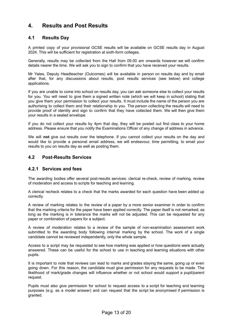# <span id="page-12-0"></span>**4. Results and Post Results**

# <span id="page-12-1"></span>**4.1 Results Day**

A printed copy of your provisional GCSE results will be available on GCSE results day in August 2024. This will be sufficient for registration at sixth-form colleges.

Generally, results may be collected from the Hall from 09.00 am onwards however we will confirm details nearer the time. We will ask you to sign to confirm that you have received your results.

Mr Yates, Deputy Headteacher (Outcomes) will be available in person on results day and by email after that, for any discussions about results, post results services (see below) and college applications.

If you are unable to come into school on results day, you can ask someone else to collect your results for you. You will need to give them a signed written note (which we will keep in school) stating that you give them your permission to collect your results. It must include the name of the person you are authorising to collect them and their relationship to you. The person collecting the results will need to provide proof of identity and sign to confirm that they have collected them. We will then give them your results in a sealed envelope.

If you do not collect your results by 4pm that day, they will be posted out first class to your home address. Please ensure that you notify the Examinations Officer of any change of address in advance.

We will **not** give out results over the telephone. If you cannot collect your results on the day and would like to provide a personal email address, we will endeavour, time permitting, to email your results to you on results day as well as posting them.

# <span id="page-12-3"></span><span id="page-12-2"></span>**4.2 Post-Results Services**

# **4.2.1 Services and fees**

The awarding bodies offer several post-results services: clerical re-check, review of marking, review of moderation and access to scripts for teaching and learning.

A clerical recheck relates to a check that the marks awarded for each question have been added up correctly.

A review of marking relates to the review of a paper by a more senior examiner in order to confirm that the marking criteria for the paper have been applied correctly. The paper itself is not remarked; as long as the marking is in tolerance the marks will not be adjusted. This can be requested for any paper or combination of papers for a subject.

A review of moderation relates to a review of the sample of non-examination assessment work submitted to the awarding body following internal marking by the school. The work of a single candidate cannot be reviewed independently, only the whole sample.

Access to a script may be requested to see how marking was applied or how questions were actually answered. These can be useful for the school to use in teaching and learning situations with other pupils.

It is important to note that reviews can lead to marks and grades staying the same, going up or even going down. For this reason, the candidate must give permission for any requests to be made. The likelihood of mark/grade changes will influence whether or not school would support a pupil/parent request.

Pupils must also give permission for school to request access to a script for teaching and learning purposes (e.g. as a model answer) and can request that the script be anonymised if permission is granted.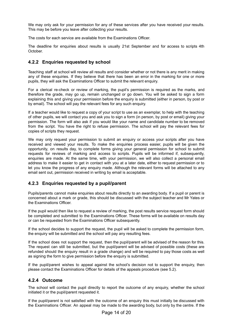We may only ask for your permission for any of these services after you have received your results. This may be before you leave after collecting your results.

The costs for each service are available from the Examinations Officer.

The deadline for enquiries about results is usually 21st September and for access to scripts 4th October.

# <span id="page-13-0"></span>**4.2.2 Enquiries requested by school**

Teaching staff at school will review all results and consider whether or not there is any merit in making any of these enquiries. If they believe that there has been an error in the marking for one or more pupils, they will ask the Examinations Officer to submit the relevant enquiry.

For a clerical re-check or review of marking, the pupil's permission is required as the marks, and therefore the grade, may go up, remain unchanged or go down. You will be asked to sign a form explaining this and giving your permission before the enquiry is submitted (either in person, by post or by email). The school will pay the relevant fees for any such enquiry.

If a teacher would like to request a copy of your script to use as an exemplar, to help with the teaching of other pupils, we will contact you and ask you to sign a form (in person, by post or email) giving your permission. The form will also ask if you would like your name and candidate number to be removed from the script. You have the right to refuse permission. The school will pay the relevant fees for copies of scripts they request.

We may only request your permission to submit an enquiry or access your scripts after you have received and viewed your results. To make the enquiries process easier, pupils will be given the opportunity, on results day, to complete forms giving your general permission for school to submit requests for reviews of marking and access to scripts. Pupils will be informed if, subsequently, enquiries are made. At the same time, with your permission, we will also collect a personal email address to make it easier to get in contact with you at a later date, either to request permission or to let you know the progress of any enquiry made. Although the relevant forms will be attached to any email sent out, permission received in writing by email is acceptable.

# <span id="page-13-1"></span>**4.2.3 Enquiries requested by a pupil/parent**

Pupils/parents cannot make enquiries about results directly to an awarding body. If a pupil or parent is concerned about a mark or grade, this should be discussed with the subject teacher and Mr Yates or the Examinations Officer.

If the pupil would then like to request a review of marking, the post results service request form should be completed and submitted to the Examinations Officer. These forms will be available on results day or can be requested from the Examinations Officer subsequently.

If the school decides to support the request, the pupil will be asked to complete the permission form, the enquiry will be submitted and the school will pay any resulting fees.

If the school does not support the request, then the pupil/parent will be advised of the reason for this. The request can still be submitted, but the pupil/parent will be advised of possible costs (these are refunded should the enquiry result in a grade change) and will be required to pay those costs as well as signing the form to give permission before the enquiry is submitted.

If the pupil/parent wishes to appeal against the school's decision not to support the enquiry, then please contact the Examinations Officer for details of the appeals procedure (see 5.2).

# <span id="page-13-2"></span>**4.2.4 Outcome**

The school will contact the pupil directly to report the outcome of any enquiry, whether the school initiated it or the pupil/parent requested it.

If the pupil/parent is not satisfied with the outcome of an enquiry this must initially be discussed with the Examinations Officer. An appeal may be made to the awarding body, but only by the centre. If the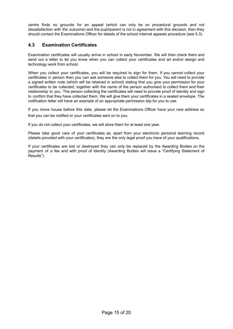centre finds no grounds for an appeal (which can only be on procedural grounds and not dissatisfaction with the outcome) and the pupil/parent is not in agreement with this decision, then they should contact the Examinations Officer for details of the school internal appeals procedure (see 5.3).

# <span id="page-14-0"></span>**4.3 Examination Certificates**

Examination certificates will usually arrive in school in early November. We will then check them and send out a letter to let you know when you can collect your certificates and art and/or design and technology work from school.

When you collect your certificates, you will be required to sign for them. If you cannot collect your certificates in person then you can ask someone else to collect them for you. You will need to provide a signed written note (which will be retained in school) stating that you give your permission for your certificates to be collected, together with the name of the person authorised to collect them and their relationship to you. The person collecting the certificates will need to provide proof of identity and sign to confirm that they have collected them. We will give them your certificates in a sealed envelope. The notification letter will have an example of an appropriate permission slip for you to use.

If you move house before this date, please let the Examinations Officer have your new address so that you can be notified or your certificates sent on to you.

If you do not collect your certificates, we will store them for at least one year.

Please take good care of your certificates as, apart from your electronic personal learning record (details provided with your certificates), they are the only legal proof you have of your qualifications.

If your certificates are lost or destroyed they can only be replaced by the Awarding Bodies on the payment of a fee and with proof of identity (Awarding Bodies will issue a "Certifying Statement of Results").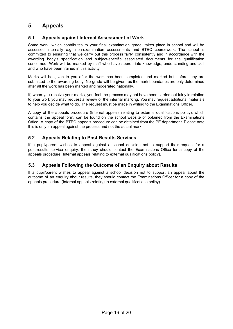# <span id="page-15-0"></span>**5. Appeals**

# <span id="page-15-1"></span>**5.1 Appeals against Internal Assessment of Work**

Some work, which contributes to your final examination grade, takes place in school and will be assessed internally e.g. non-examination assessments and BTEC coursework. The school is committed to ensuring that we carry out this process fairly, consistently and in accordance with the awarding body's specification and subject-specific associated documents for the qualification concerned. Work will be marked by staff who have appropriate knowledge, understanding and skill and who have been trained in this activity.

Marks will be given to you after the work has been completed and marked but before they are submitted to the awarding body. No grade will be given, as the mark boundaries are only determined after all the work has been marked and moderated nationally.

If, when you receive your marks, you feel the process may not have been carried out fairly in relation to your work you may request a review of the internal marking. You may request additional materials to help you decide what to do. The request must be made in writing to the Examinations Officer.

A copy of the appeals procedure (Internal appeals relating to external qualifications policy), which contains the appeal form, can be found on the school website or obtained from the Examinations Office. A copy of the BTEC appeals procedure can be obtained from the PE department. Please note this is only an appeal against the process and not the actual mark.

# <span id="page-15-2"></span>**5.2 Appeals Relating to Post Results Services**

If a pupil/parent wishes to appeal against a school decision not to support their request for a post-results service enquiry, then they should contact the Examinations Office for a copy of the appeals procedure (Internal appeals relating to external qualifications policy).

# <span id="page-15-3"></span>**5.3 Appeals Following the Outcome of an Enquiry about Results**

If a pupil/parent wishes to appeal against a school decision not to support an appeal about the outcome of an enquiry about results, they should contact the Examinations Officer for a copy of the appeals procedure (Internal appeals relating to external qualifications policy).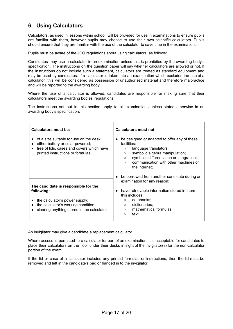# <span id="page-16-0"></span>**6. Using Calculators**

Calculators, as used in lessons within school, will be provided for use in examinations to ensure pupils are familiar with them, however pupils may choose to use their own scientific calculators. Pupils should ensure that they are familiar with the use of the calculator to save time in the examination.

Pupils must be aware of the JCQ regulations about using calculators, as follows:

Candidates may use a calculator in an examination unless this is prohibited by the awarding body's specification. The instructions on the question paper will say whether calculators are allowed or not. If the instructions do not include such a statement, calculators are treated as standard equipment and may be used by candidates. If a calculator is taken into an examination which excludes the use of a calculator, this will be considered as possession of unauthorised material and therefore malpractice and will be reported to the awarding body.

Where the use of a calculator is allowed, candidates are responsible for making sure that their calculators meet the awarding bodies' regulations.

The instructions set out in this section apply to all examinations unless stated otherwise in an awarding body's specification.

| Calculators must be:                                                                                                                                                                    | Calculators must not:                                                                                                                                                                                                                                                                  |
|-----------------------------------------------------------------------------------------------------------------------------------------------------------------------------------------|----------------------------------------------------------------------------------------------------------------------------------------------------------------------------------------------------------------------------------------------------------------------------------------|
| of a size suitable for use on the desk;<br>$\bullet$<br>either battery or solar powered;<br>$\bullet$<br>free of lids, cases and covers which have<br>printed instructions or formulas. | be designed or adapted to offer any of these<br>$\bullet$<br>facilities: -<br>language translators;<br>$\circ$<br>symbolic algebra manipulation;<br>$\circ$<br>symbolic differentiation or integration;<br>$\circ$<br>communication with other machines or<br>$\circ$<br>the internet: |
|                                                                                                                                                                                         | be borrowed from another candidate during an<br>examination for any reason;                                                                                                                                                                                                            |
| The candidate is responsible for the<br>following:                                                                                                                                      | have retrievable information stored in them -<br>$\bullet$<br>this includes:                                                                                                                                                                                                           |
| the calculator's power supply;<br>the calculator's working condition;<br>clearing anything stored in the calculator.                                                                    | databanks:<br>$\circ$<br>dictionaries;<br>$\circ$<br>mathematical formulas;<br>$\circ$<br>text.<br>$\circ$                                                                                                                                                                             |

An invigilator may give a candidate a replacement calculator.

Where access is permitted to a calculator for part of an examination, it is acceptable for candidates to place their calculators on the floor under their desks in sight of the invigilator(s) for the non-calculator portion of the exam.

If the lid or case of a calculator includes any printed formulas or instructions, then the lid must be removed and left in the candidate's bag or handed in to the invigilator.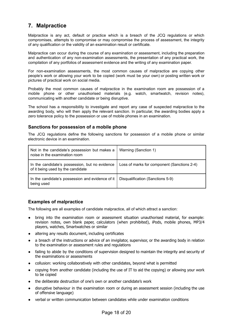# <span id="page-17-0"></span>**7. Malpractice**

Malpractice is any act, default or practice which is a breach of the JCQ regulations or which compromises, attempts to compromise or may compromise the process of assessment, the integrity of any qualification or the validity of an examination result or certificate.

Malpractice can occur during the course of any examination or assessment, including the preparation and authentication of any non-examination assessments, the presentation of any practical work, the compilation of any portfolios of assessment evidence and the writing of any examination paper.

For non-examination assessments, the most common causes of malpractice are copying other people's work or allowing your work to be copied (work must be your own) or posting written work or pictures of practical work on social media.

Probably the most common causes of malpractice in the examination room are possession of a mobile phone or other unauthorised materials (e.g. watch, smartwatch, revision notes), communicating with another candidate or being disruptive.

The school has a responsibility to investigate and report any case of suspected malpractice to the awarding body, who will then apply the relevant sanction. In particular, the awarding bodies apply a zero tolerance policy to the possession or use of mobile phones in an examination.

# <span id="page-17-1"></span>**Sanctions for possession of a mobile phone**

The JCQ regulations define the following sanctions for possession of a mobile phone or similar electronic device in an examination.

| Not in the candidate's possession but makes a<br>noise in the examination room      | Warning (Sanction 1)                        |
|-------------------------------------------------------------------------------------|---------------------------------------------|
| In the candidate's possession, but no evidence<br>of it being used by the candidate | Loss of marks for component (Sanctions 2-4) |
| In the candidate's possession and evidence of it<br>being used                      | Disqualification (Sanctions 5-9)            |

# <span id="page-17-2"></span>**Examples of malpractice**

The following are all examples of candidate malpractice, all of which attract a sanction:

- bring into the examination room or assessment situation unauthorised material, for example: revision notes, own blank paper, calculators (when prohibited), iPods, mobile phones, MP3/4 players, watches, Smartwatches or similar
- altering any results document, including certificates
- a breach of the instructions or advice of an invigilator, supervisor, or the awarding body in relation to the examination or assessment rules and regulations
- failing to abide by the conditions of supervision designed to maintain the integrity and security of the examinations or assessments
- collusion: working collaboratively with other candidates, beyond what is permitted
- copying from another candidate (including the use of IT to aid the copying) or allowing your work to be copied
- the deliberate destruction of one's own or another candidate's work
- disruptive behaviour in the examination room or during an assessment session (including the use of offensive language)
- verbal or written communication between candidates while under examination conditions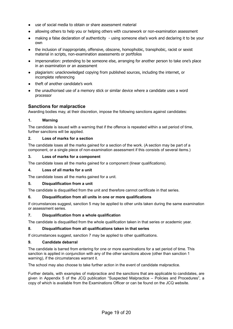- use of social media to obtain or share assessment material
- allowing others to help you or helping others with coursework or non-examination assessment
- making a false declaration of authenticity using someone else's work and declaring it to be your own
- the inclusion of inappropriate, offensive, obscene, homophobic, transphobic, racist or sexist material in scripts, non-examination assessments or portfolios
- impersonation: pretending to be someone else, arranging for another person to take one's place in an examination or an assessment
- plagiarism: unacknowledged copying from published sources, including the internet, or incomplete referencing
- theft of another candidate's work
- the unauthorised use of a memory stick or similar device where a candidate uses a word processor

# <span id="page-18-0"></span>**Sanctions for malpractice**

Awarding bodies may, at their discretion, impose the following sanctions against candidates:

# **1. Warning**

The candidate is issued with a warning that if the offence is repeated within a set period of time, further sanctions will be applied.

# **2. Loss of marks for a section**

The candidate loses all the marks gained for a section of the work. (A section may be part of a component, or a single piece of non-examination assessment if this consists of several items.)

# **3. Loss of marks for a component**

The candidate loses all the marks gained for a component (linear qualifications).

# **4. Loss of all marks for a unit**

The candidate loses all the marks gained for a unit.

# **5. Disqualification from a unit**

The candidate is disqualified from the unit and therefore cannot certificate in that series.

# **6. Disqualification from all units in one or more qualifications**

If circumstances suggest, sanction 5 may be applied to other units taken during the same examination or assessment series.

# **7. Disqualification from a whole qualification**

The candidate is disqualified from the whole qualification taken in that series or academic year.

# **8. Disqualification from all qualifications taken in that series**

If circumstances suggest, sanction 7 may be applied to other qualifications.

# **9. Candidate debarral**

The candidate is barred from entering for one or more examinations for a set period of time. This sanction is applied in conjunction with any of the other sanctions above (other than sanction 1 warning), if the circumstances warrant it.

The school may also choose to take further action in the event of candidate malpractice.

Further details, with examples of malpractice and the sanctions that are applicable to candidates, are given in Appendix 5 of the JCQ publication "Suspected Malpractice – Policies and Procedures", a copy of which is available from the Examinations Officer or can be found on the JCQ website.